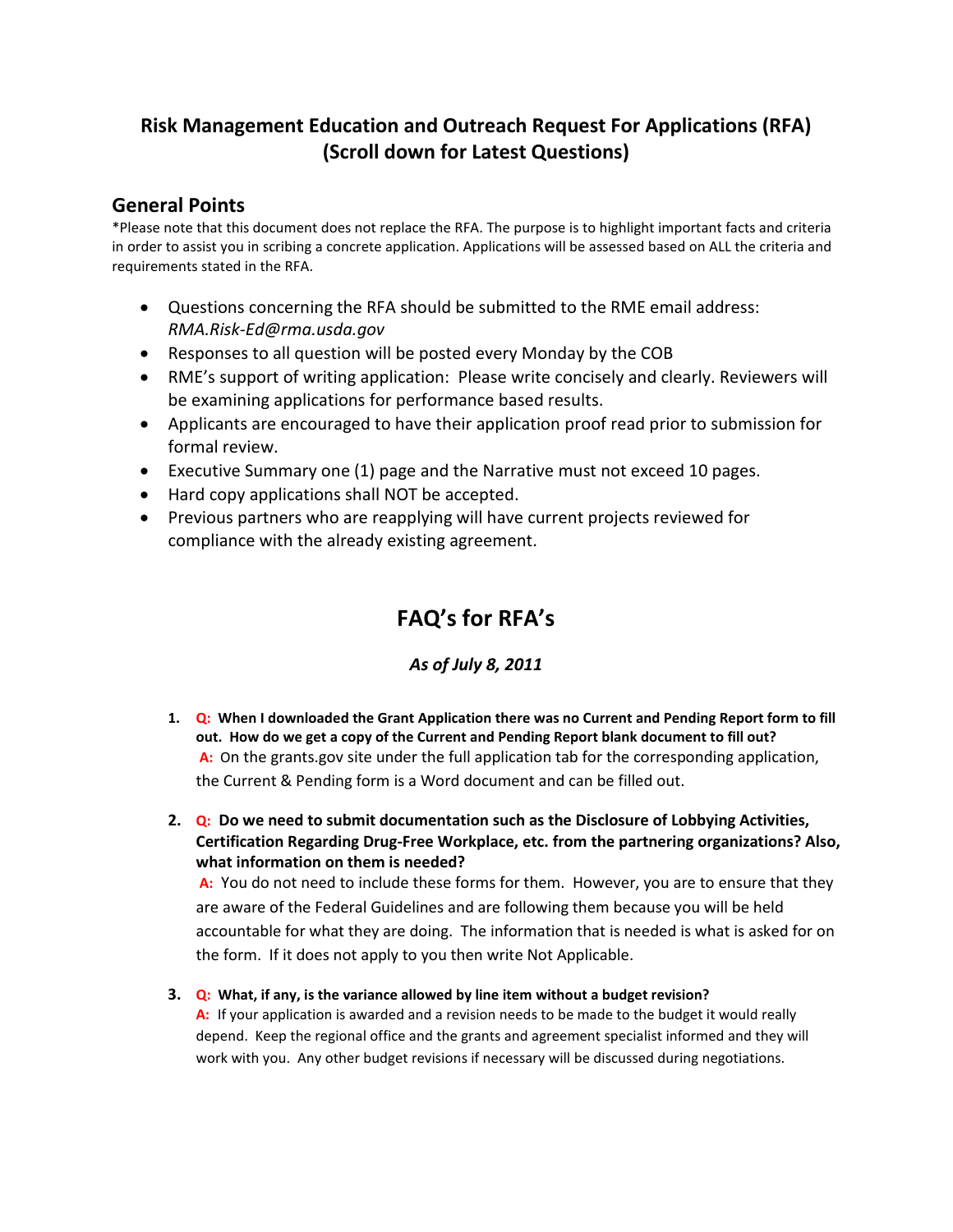## **Risk Management Education and Outreach Request For Applications (RFA) (Scroll down for Latest Questions)**

## **General Points**

\*Please note that this document does not replace the RFA. The purpose is to highlight important facts and criteria in order to assist you in scribing a concrete application. Applications will be assessed based on ALL the criteria and requirements stated in the RFA.

- Questions concerning the RFA should be submitted to the RME email address: *RMA.Risk-Ed@rma.usda.gov*
- Responses to all question will be posted every Monday by the COB
- RME's support of writing application: Please write concisely and clearly. Reviewers will be examining applications for performance based results.
- Applicants are encouraged to have their application proof read prior to submission for formal review.
- Executive Summary one (1) page and the Narrative must not exceed 10 pages.
- Hard copy applications shall NOT be accepted.
- Previous partners who are reapplying will have current projects reviewed for compliance with the already existing agreement.

# **FAQ's for RFA's**

## *As of July 8, 2011*

- **1. Q: When I downloaded the Grant Application there was no Current and Pending Report form to fill out. How do we get a copy of the Current and Pending Report blank document to fill out? A:** On the grants.gov site under the full application tab for the corresponding application, the Current & Pending form is a Word document and can be filled out.
- **2. Q: Do we need to submit documentation such as the Disclosure of Lobbying Activities, Certification Regarding Drug-Free Workplace, etc. from the partnering organizations? Also, what information on them is needed?**

**A:** You do not need to include these forms for them. However, you are to ensure that they are aware of the Federal Guidelines and are following them because you will be held accountable for what they are doing. The information that is needed is what is asked for on the form. If it does not apply to you then write Not Applicable.

**3. Q: What, if any, is the variance allowed by line item without a budget revision? A:** If your application is awarded and a revision needs to be made to the budget it would really depend. Keep the regional office and the grants and agreement specialist informed and they will work with you. Any other budget revisions if necessary will be discussed during negotiations.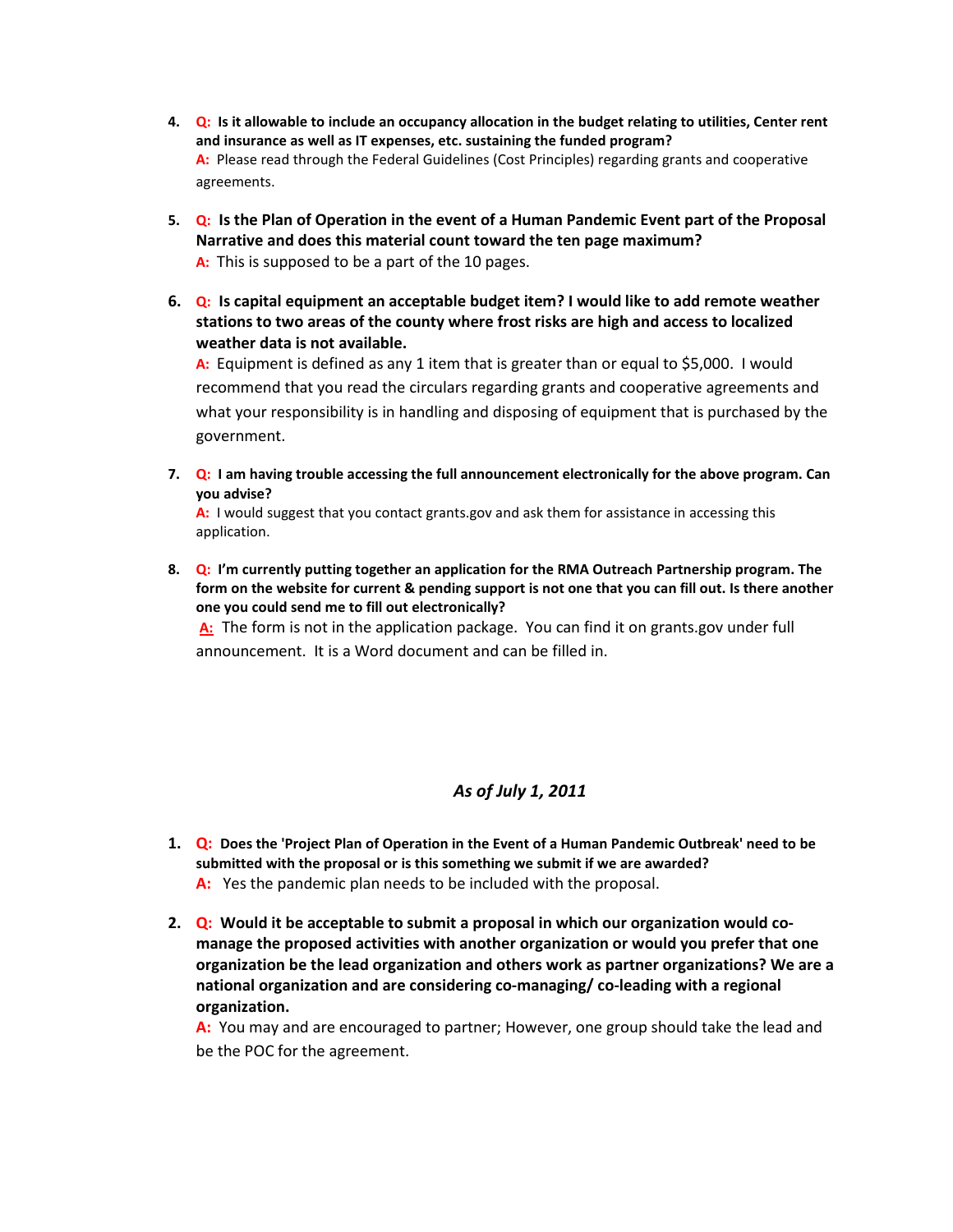- **4. Q: Is it allowable to include an occupancy allocation in the budget relating to utilities, Center rent and insurance as well as IT expenses, etc. sustaining the funded program? A:** Please read through the Federal Guidelines (Cost Principles) regarding grants and cooperative agreements.
- **5. Q: Is the Plan of Operation in the event of a Human Pandemic Event part of the Proposal Narrative and does this material count toward the ten page maximum? A:** This is supposed to be a part of the 10 pages.
- **6. Q: Is capital equipment an acceptable budget item? I would like to add remote weather stations to two areas of the county where frost risks are high and access to localized weather data is not available.**

**A:** Equipment is defined as any 1 item that is greater than or equal to \$5,000. I would recommend that you read the circulars regarding grants and cooperative agreements and what your responsibility is in handling and disposing of equipment that is purchased by the government.

**7. Q: I am having trouble accessing the full announcement electronically for the above program. Can you advise?**

**A:** I would suggest that you contact grants.gov and ask them for assistance in accessing this application.

**8. Q: I'm currently putting together an application for the RMA Outreach Partnership program. The form on the website for current & pending support is not one that you can fill out. Is there another one you could send me to fill out electronically?**

**A:** The form is not in the application package. You can find it on grants.gov under full announcement. It is a Word document and can be filled in.

### *As of July 1, 2011*

- **1. Q: Does the 'Project Plan of Operation in the Event of a Human Pandemic Outbreak' need to be submitted with the proposal or is this something we submit if we are awarded? A:** Yes the pandemic plan needs to be included with the proposal.
- **2. Q: Would it be acceptable to submit a proposal in which our organization would comanage the proposed activities with another organization or would you prefer that one organization be the lead organization and others work as partner organizations? We are a national organization and are considering co-managing/ co-leading with a regional organization.**

**A:** You may and are encouraged to partner; However, one group should take the lead and be the POC for the agreement.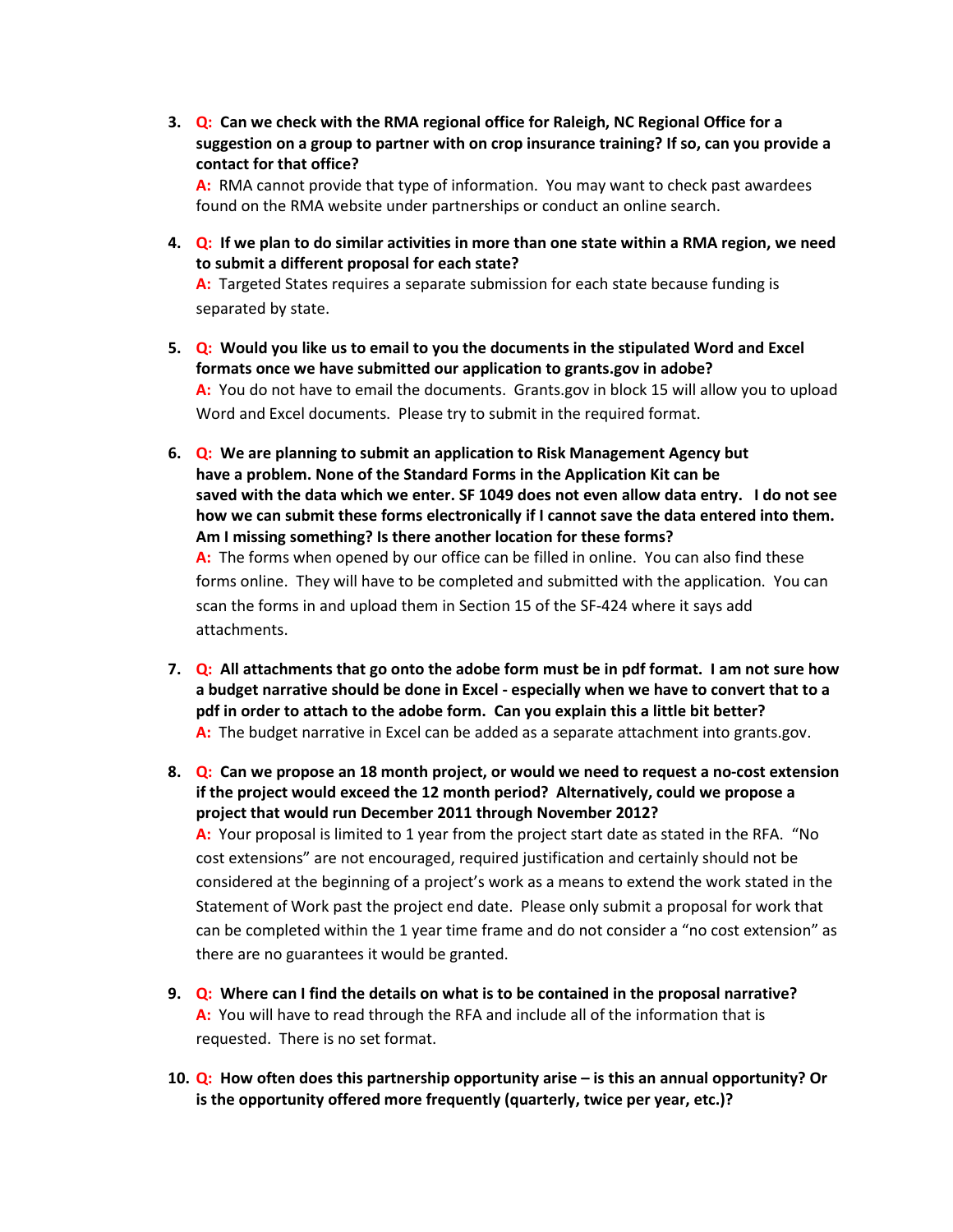**3. Q: Can we check with the RMA regional office for Raleigh, NC Regional Office for a suggestion on a group to partner with on crop insurance training? If so, can you provide a contact for that office?**

**A:** RMA cannot provide that type of information. You may want to check past awardees found on the RMA website under partnerships or conduct an online search.

**4. Q: If we plan to do similar activities in more than one state within a RMA region, we need to submit a different proposal for each state?**

**A:** Targeted States requires a separate submission for each state because funding is separated by state.

- **5. Q: Would you like us to email to you the documents in the stipulated Word and Excel formats once we have submitted our application to grants.gov in adobe? A:** You do not have to email the documents. Grants.gov in block 15 will allow you to upload Word and Excel documents. Please try to submit in the required format.
- **6. Q: We are planning to submit an application to Risk Management Agency but have a problem. None of the Standard Forms in the Application Kit can be saved with the data which we enter. SF 1049 does not even allow data entry. I do not see how we can submit these forms electronically if I cannot save the data entered into them. Am I missing something? Is there another location for these forms? A:** The forms when opened by our office can be filled in online. You can also find these forms online. They will have to be completed and submitted with the application. You can scan the forms in and upload them in Section 15 of the SF-424 where it says add attachments.
- **7. Q: All attachments that go onto the adobe form must be in pdf format. I am not sure how a budget narrative should be done in Excel - especially when we have to convert that to a pdf in order to attach to the adobe form. Can you explain this a little bit better? A:** The budget narrative in Excel can be added as a separate attachment into grants.gov.
- **8. Q: Can we propose an 18 month project, or would we need to request a no-cost extension if the project would exceed the 12 month period? Alternatively, could we propose a project that would run December 2011 through November 2012? A:** Your proposal is limited to 1 year from the project start date as stated in the RFA. "No cost extensions" are not encouraged, required justification and certainly should not be considered at the beginning of a project's work as a means to extend the work stated in the Statement of Work past the project end date. Please only submit a proposal for work that can be completed within the 1 year time frame and do not consider a "no cost extension" as there are no guarantees it would be granted.
- **9. Q: Where can I find the details on what is to be contained in the proposal narrative? A:** You will have to read through the RFA and include all of the information that is requested. There is no set format.
- **10. Q: How often does this partnership opportunity arise – is this an annual opportunity? Or is the opportunity offered more frequently (quarterly, twice per year, etc.)?**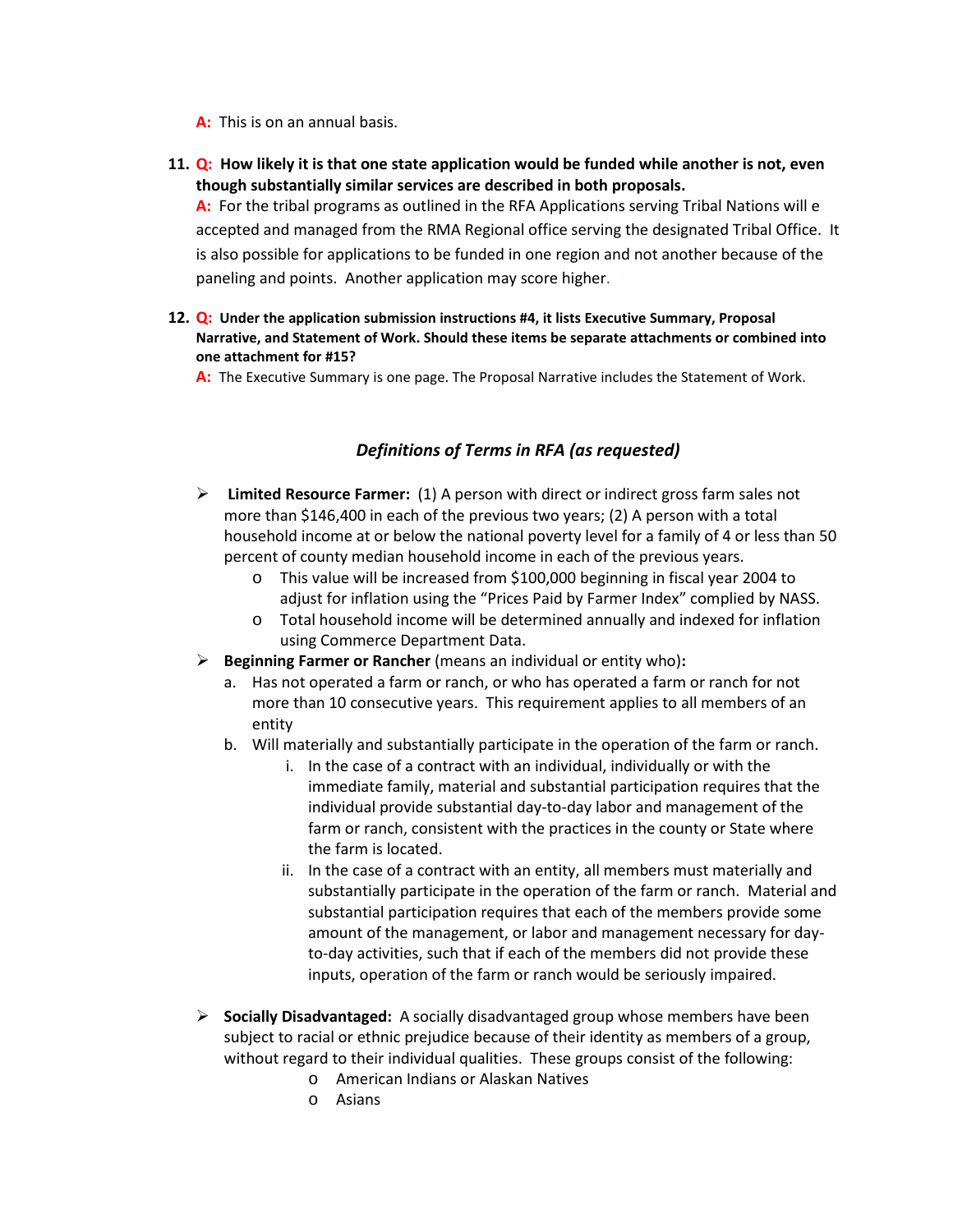- **A:** This is on an annual basis.
- **11. Q: How likely it is that one state application would be funded while another is not, even though substantially similar services are described in both proposals.**

**A:** For the tribal programs as outlined in the RFA Applications serving Tribal Nations will e accepted and managed from the RMA Regional office serving the designated Tribal Office. It is also possible for applications to be funded in one region and not another because of the paneling and points. Another application may score higher.

- **12. Q: Under the application submission instructions #4, it lists Executive Summary, Proposal Narrative, and Statement of Work. Should these items be separate attachments or combined into one attachment for #15?** 
	- **A:** The Executive Summary is one page. The Proposal Narrative includes the Statement of Work.

## *Definitions of Terms in RFA (as requested)*

- **Limited Resource Farmer:** (1) A person with direct or indirect gross farm sales not more than \$146,400 in each of the previous two years; (2) A person with a total household income at or below the national poverty level for a family of 4 or less than 50 percent of county median household income in each of the previous years.
	- o This value will be increased from \$100,000 beginning in fiscal year 2004 to adjust for inflation using the "Prices Paid by Farmer Index" complied by NASS.
	- o Total household income will be determined annually and indexed for inflation using Commerce Department Data.
- **Beginning Farmer or Rancher** (means an individual or entity who)**:**
	- a. Has not operated a farm or ranch, or who has operated a farm or ranch for not more than 10 consecutive years. This requirement applies to all members of an entity
	- b. Will materially and substantially participate in the operation of the farm or ranch.
		- i. In the case of a contract with an individual, individually or with the immediate family, material and substantial participation requires that the individual provide substantial day-to-day labor and management of the farm or ranch, consistent with the practices in the county or State where the farm is located.
		- ii. In the case of a contract with an entity, all members must materially and substantially participate in the operation of the farm or ranch. Material and substantial participation requires that each of the members provide some amount of the management, or labor and management necessary for dayto-day activities, such that if each of the members did not provide these inputs, operation of the farm or ranch would be seriously impaired.
- **Socially Disadvantaged:** A socially disadvantaged group whose members have been subject to racial or ethnic prejudice because of their identity as members of a group, without regard to their individual qualities. These groups consist of the following:
	- o American Indians or Alaskan Natives
	- o Asians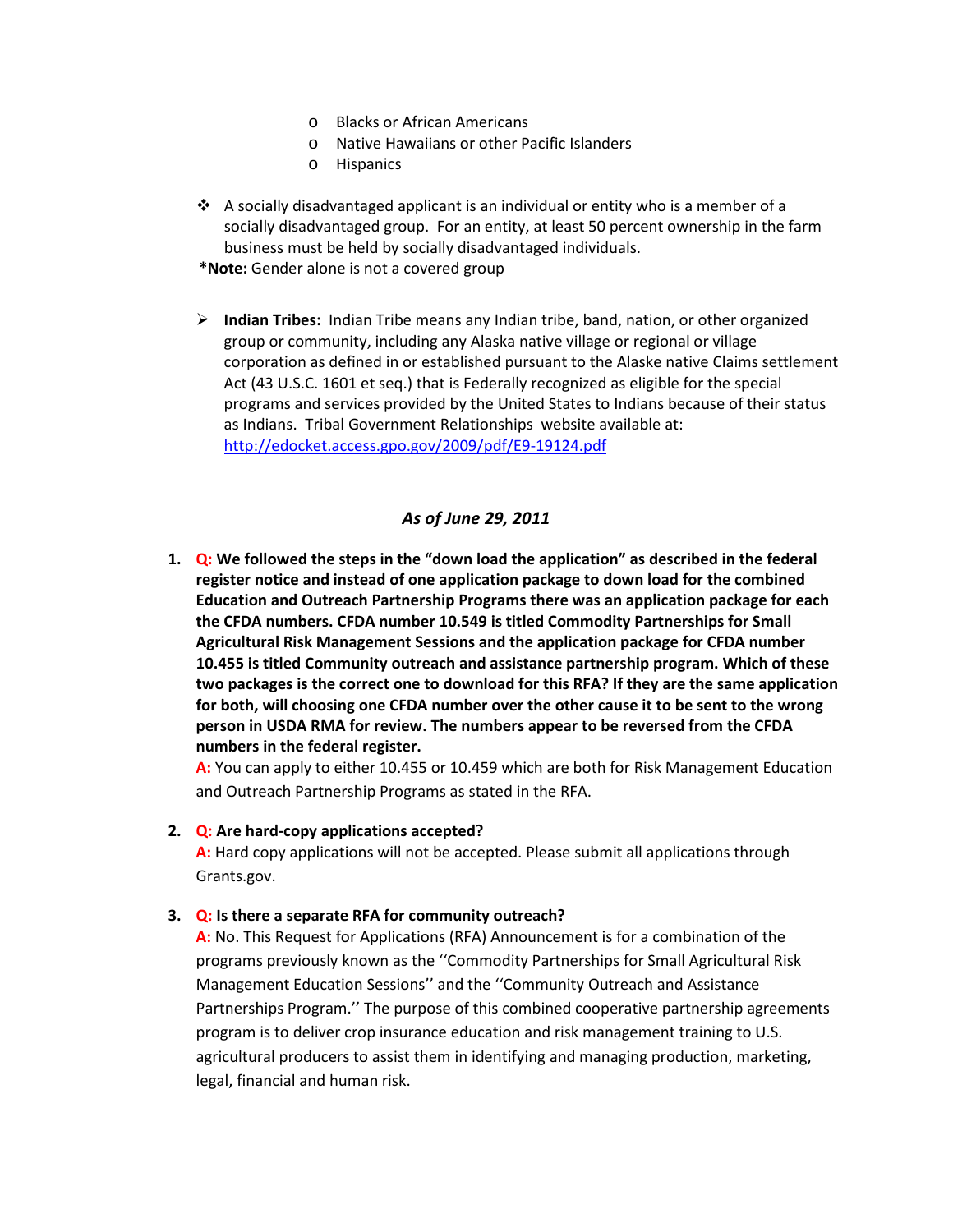- o Blacks or African Americans
- o Native Hawaiians or other Pacific Islanders
- o Hispanics
- $\cdot \cdot$  A socially disadvantaged applicant is an individual or entity who is a member of a socially disadvantaged group. For an entity, at least 50 percent ownership in the farm business must be held by socially disadvantaged individuals.
- **\*Note:** Gender alone is not a covered group
- **Indian Tribes:** Indian Tribe means any Indian tribe, band, nation, or other organized group or community, including any Alaska native village or regional or village corporation as defined in or established pursuant to the Alaske native Claims settlement Act (43 U.S.C. 1601 et seq.) that is Federally recognized as eligible for the special programs and services provided by the United States to Indians because of their status as Indians. Tribal Government Relationships website available at: <http://edocket.access.gpo.gov/2009/pdf/E9-19124.pdf>

#### *As of June 29, 2011*

**1. Q: We followed the steps in the "down load the application" as described in the federal register notice and instead of one application package to down load for the combined Education and Outreach Partnership Programs there was an application package for each the CFDA numbers. CFDA number 10.549 is titled Commodity Partnerships for Small Agricultural Risk Management Sessions and the application package for CFDA number 10.455 is titled Community outreach and assistance partnership program. Which of these two packages is the correct one to download for this RFA? If they are the same application for both, will choosing one CFDA number over the other cause it to be sent to the wrong person in USDA RMA for review. The numbers appear to be reversed from the CFDA numbers in the federal register.**

**A:** You can apply to either 10.455 or 10.459 which are both for Risk Management Education and Outreach Partnership Programs as stated in the RFA.

**2. Q: Are hard-copy applications accepted?** 

**A:** Hard copy applications will not be accepted. Please submit all applications through Grants.gov.

#### **3. Q: Is there a separate RFA for community outreach?**

**A:** No. This Request for Applications (RFA) Announcement is for a combination of the programs previously known as the ''Commodity Partnerships for Small Agricultural Risk Management Education Sessions'' and the ''Community Outreach and Assistance Partnerships Program.'' The purpose of this combined cooperative partnership agreements program is to deliver crop insurance education and risk management training to U.S. agricultural producers to assist them in identifying and managing production, marketing, legal, financial and human risk.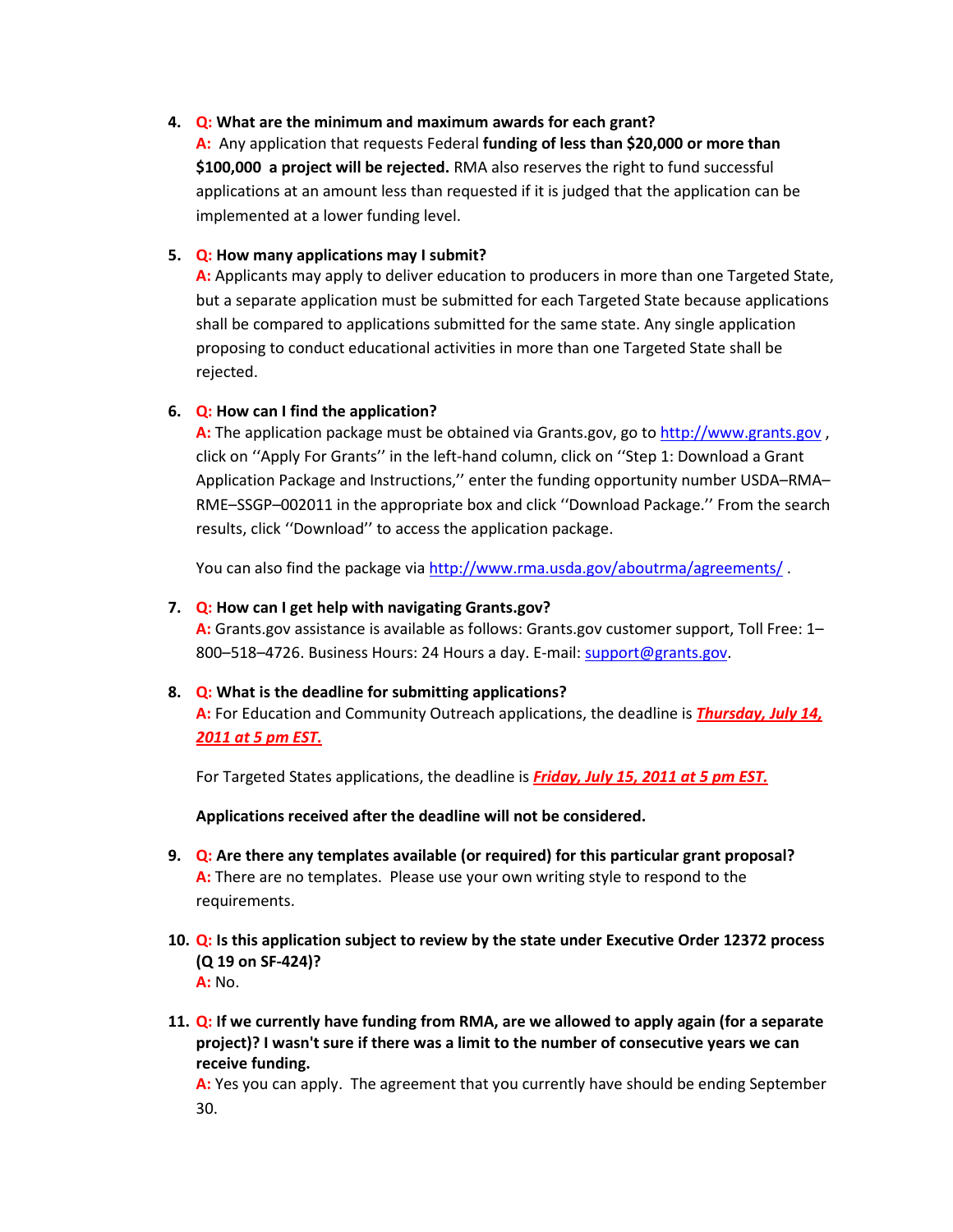#### **4. Q: What are the minimum and maximum awards for each grant?**

**A:** Any application that requests Federal **funding of less than \$20,000 or more than \$100,000 a project will be rejected.** RMA also reserves the right to fund successful applications at an amount less than requested if it is judged that the application can be implemented at a lower funding level.

#### **5. Q: How many applications may I submit?**

**A:** Applicants may apply to deliver education to producers in more than one Targeted State, but a separate application must be submitted for each Targeted State because applications shall be compared to applications submitted for the same state. Any single application proposing to conduct educational activities in more than one Targeted State shall be rejected.

#### **6. Q: How can I find the application?**

**A:** The application package must be obtained via Grants.gov, go to [http://www.grants.gov](http://www.grants.gov/) , click on ''Apply For Grants'' in the left-hand column, click on ''Step 1: Download a Grant Application Package and Instructions,'' enter the funding opportunity number USDA–RMA– RME–SSGP–002011 in the appropriate box and click ''Download Package.'' From the search results, click ''Download'' to access the application package.

You can also find the package vi[a http://www.rma.usda.gov/aboutrma/agreements/](http://www.rma.usda.gov/aboutrma/agreements/).

#### **7. Q: How can I get help with navigating Grants.gov?**

**A:** Grants.gov assistance is available as follows: Grants.gov customer support, Toll Free: 1– 800–518–4726. Business Hours: 24 Hours a day. E-mail: [support@grants.gov.](mailto:support@grants.gov)

#### **8. Q: What is the deadline for submitting applications?**

**A:** For Education and Community Outreach applications, the deadline is *Thursday, July 14, 2011 at 5 pm EST.*

For Targeted States applications, the deadline is *Friday, July 15, 2011 at 5 pm EST.*

**Applications received after the deadline will not be considered.**

- **9. Q: Are there any templates available (or required) for this particular grant proposal? A:** There are no templates. Please use your own writing style to respond to the requirements.
- **10. Q: Is this application subject to review by the state under Executive Order 12372 process (Q 19 on SF-424)? A:** No.
- **11. Q: If we currently have funding from RMA, are we allowed to apply again (for a separate project)? I wasn't sure if there was a limit to the number of consecutive years we can receive funding.**

**A:** Yes you can apply. The agreement that you currently have should be ending September 30.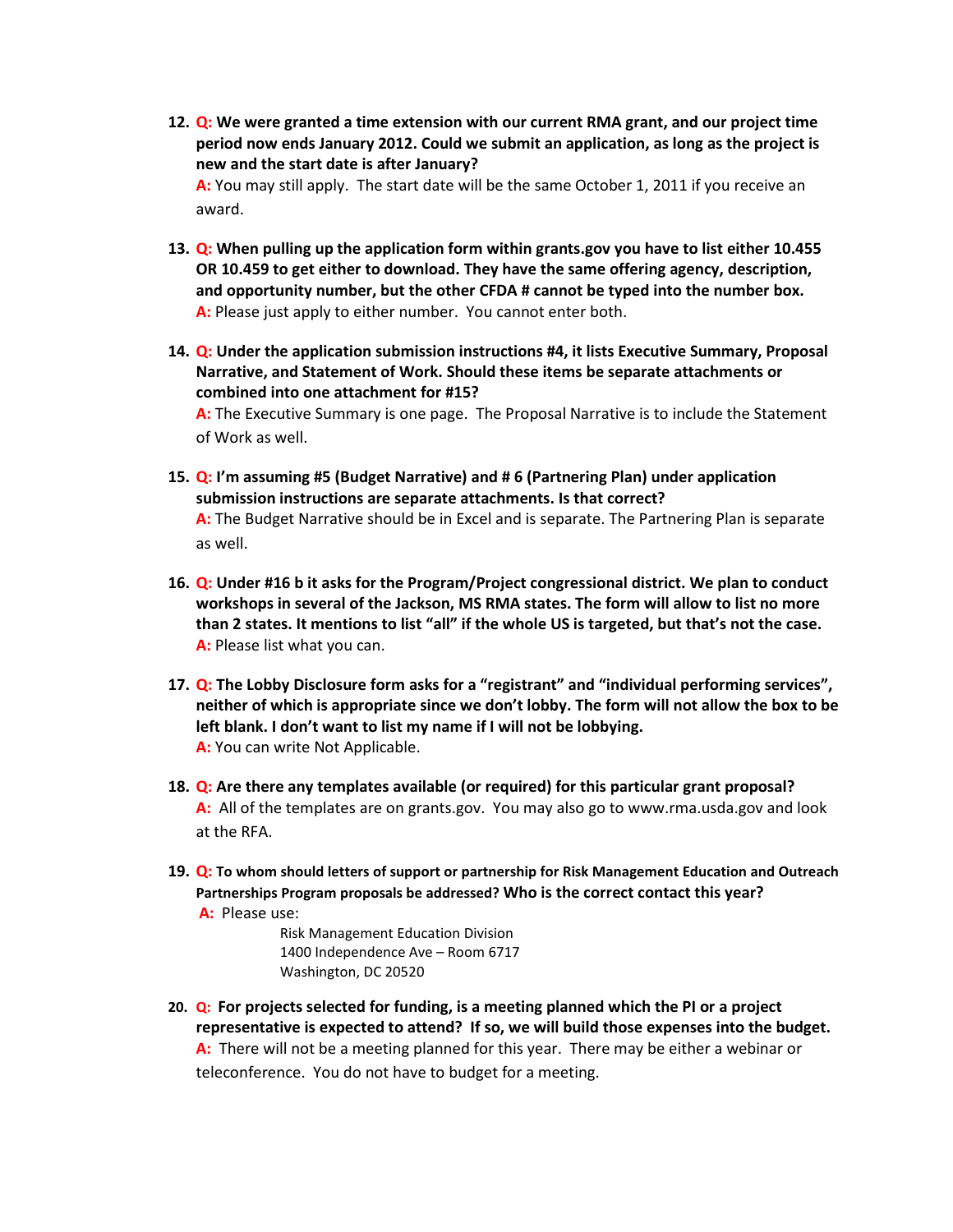**12. Q: We were granted a time extension with our current RMA grant, and our project time period now ends January 2012. Could we submit an application, as long as the project is new and the start date is after January?**

**A:** You may still apply. The start date will be the same October 1, 2011 if you receive an award.

- **13. Q: When pulling up the application form within grants.gov you have to list either 10.455 OR 10.459 to get either to download. They have the same offering agency, description, and opportunity number, but the other CFDA # cannot be typed into the number box. A:** Please just apply to either number. You cannot enter both.
- **14. Q: Under the application submission instructions #4, it lists Executive Summary, Proposal Narrative, and Statement of Work. Should these items be separate attachments or combined into one attachment for #15?**

**A:** The Executive Summary is one page. The Proposal Narrative is to include the Statement of Work as well.

**15. Q: I'm assuming #5 (Budget Narrative) and # 6 (Partnering Plan) under application submission instructions are separate attachments. Is that correct?**

**A:** The Budget Narrative should be in Excel and is separate. The Partnering Plan is separate as well.

- **16. Q: Under #16 b it asks for the Program/Project congressional district. We plan to conduct workshops in several of the Jackson, MS RMA states. The form will allow to list no more than 2 states. It mentions to list "all" if the whole US is targeted, but that's not the case. A:** Please list what you can.
- **17. Q: The Lobby Disclosure form asks for a "registrant" and "individual performing services", neither of which is appropriate since we don't lobby. The form will not allow the box to be left blank. I don't want to list my name if I will not be lobbying. A:** You can write Not Applicable.
- **18. Q: Are there any templates available (or required) for this particular grant proposal? A:** All of the templates are on grants.gov. You may also go t[o www.rma.usda.gov](http://www.rma.usda.gov/) and look at the RFA.
- **19. Q: To whom should letters of support or partnership for Risk Management Education and Outreach Partnerships Program proposals be addressed? Who is the correct contact this year? A:** Please use:

Risk Management Education Division 1400 Independence Ave – Room 6717 Washington, DC 20520

**20. Q: For projects selected for funding, is a meeting planned which the PI or a project representative is expected to attend? If so, we will build those expenses into the budget. A:** There will not be a meeting planned for this year. There may be either a webinar or teleconference. You do not have to budget for a meeting.